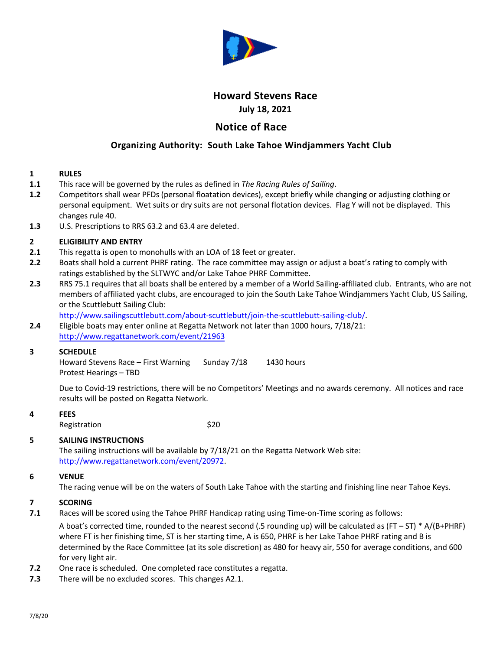

# **Howard Stevens Race July 18, 2021**

# **Notice of Race**

## **Organizing Authority: South Lake Tahoe Windjammers Yacht Club**

#### **1 RULES**

- **1.1** This race will be governed by the rules as defined in *The Racing Rules of Sailing*.
- **1.2** Competitors shall wear PFDs (personal floatation devices), except briefly while changing or adjusting clothing or personal equipment. Wet suits or dry suits are not personal flotation devices. Flag Y will not be displayed. This changes rule 40.
- **1.3** U.S. Prescriptions to RRS 63.2 and 63.4 are deleted.

#### **2 ELIGIBILITY AND ENTRY**

- **2.1** This regatta is open to monohulls with an LOA of 18 feet or greater.
- **2.2** Boats shall hold a current PHRF rating. The race committee may assign or adjust a boat's rating to comply with ratings established by the SLTWYC and/or Lake Tahoe PHRF Committee.
- **2.3** RRS 75.1 requires that all boats shall be entered by a member of a World Sailing-affiliated club. Entrants, who are not members of affiliated yacht clubs, are encouraged to join the South Lake Tahoe Windjammers Yacht Club, US Sailing, or the Scuttlebutt Sailing Club:

[http://www.sailingscuttlebutt.com/about-scuttlebutt/join-the-scuttlebutt-sailing-club/.](http://www.sailingscuttlebutt.com/about-scuttlebutt/join-the-scuttlebutt-sailing-club/)

**2.4** Eligible boats may enter online at Regatta Network not later than 1000 hours, 7/18/21: [http://www.regattanetwork.com/event/](http://www.regattanetwork.com/event/20972)21963

### **3 SCHEDULE**

Howard Stevens Race – First Warning Sunday 7/18 1430 hours Protest Hearings – TBD

Due to Covid-19 restrictions, there will be no Competitors' Meetings and no awards ceremony. All notices and race results will be posted on Regatta Network.

### **4 FEES**

Registration \$20

#### **5 SAILING INSTRUCTIONS**

The sailing instructions will be available by 7/18/21 on the Regatta Network Web site: [http://www.regattanetwork.com/event/20972.](http://www.regattanetwork.com/event/20972)

#### **6 VENUE**

The racing venue will be on the waters of South Lake Tahoe with the starting and finishing line near Tahoe Keys.

#### **7 SCORING**

**7.1** Races will be scored using the Tahoe PHRF Handicap rating using Time-on-Time scoring as follows:

A boat's corrected time, rounded to the nearest second (.5 rounding up) will be calculated as  $(FT - ST) * A/(B+PHRF)$ where FT is her finishing time, ST is her starting time, A is 650, PHRF is her Lake Tahoe PHRF rating and B is determined by the Race Committee (at its sole discretion) as 480 for heavy air, 550 for average conditions, and 600 for very light air.

- **7.2** One race is scheduled. One completed race constitutes a regatta.
- **7.3** There will be no excluded scores. This changes A2.1.